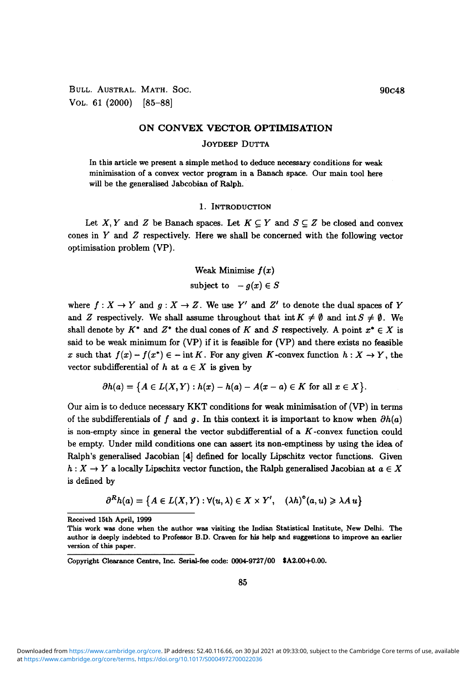BULL. AUSTRAL. MATH. SOC. 90C48 VOL. 61 (2000) [85-88]

## ON CONVEX VECTOR OPTIMISATION

## JOYDEEP DUTTA

In this article we present a simple method to deduce necessary conditions for weak minimisation of a convex vector program in a Banach space. Our main tool here will be the generalised Jabcobian of Ralph.

# 1. INTRODUCTION

Let X, Y and Z be Banach spaces. Let  $K \subseteq Y$  and  $S \subseteq Z$  be closed and convex cones in *Y* and *Z* respectively. Here we shall be concerned with the following vector optimisation problem (VP).

> Weak Minimise *f(x)* subject to  $-q(x) \in S$

where  $f: X \to Y$  and  $g: X \to Z$ . We use Y' and Z' to denote the dual spaces of Y and *Z* respectively. We shall assume throughout that int  $K \neq \emptyset$  and int  $S \neq \emptyset$ . We shall denote by  $K^*$  and  $Z^*$  the dual cones of K and S respectively. A point  $x^* \in X$  is said to be weak minimum for (VP) if it is feasible for (VP) and there exists no feasible *x* such that  $f(x) - f(x^*) \in -\text{int } K$ . For any given K-convex function  $h: X \to Y$ , the vector subdifferential of  $h$  at  $a \in X$  is given by

$$
\partial h(a) = \big\{A \in L(X,Y): h(x) - h(a) - A(x-a) \in K \text{ for all } x \in X\big\}.
$$

Our aim is to deduce necessary KKT conditions for weak minimisation of (VP) in terms of the subdifferentials of f and q. In this context it is important to know when  $\partial h(a)$ is non-empty since in general the vector subdifferential of a  $K$ -convex function could be empty. Under mild conditions one can assert its non-emptiness by using the idea of Ralph's generalised Jacobian [4] defined for locally Lipschitz vector functions. Given  $h: X \to Y$  a locally Lipschitz vector function, the Ralph generalised Jacobian at  $a \in X$ is defined by

$$
\partial^R h(a) = \{ A \in L(X,Y) : \forall (u, \lambda) \in X \times Y', \quad (\lambda h)^{\circ}(a, u) \geq \lambda A u \}
$$

Received 15th April, 1999

This work was done when the author was visiting the Indian Statistical Institute, New Delhi. The author is deeply indebted to Professor B.D. Craven for his help and suggestions to improve an earlier version of this paper.

Copyright Clearance Centre, Inc. Serial-fee code: 0004-9727/00 \$A2.00+0.00.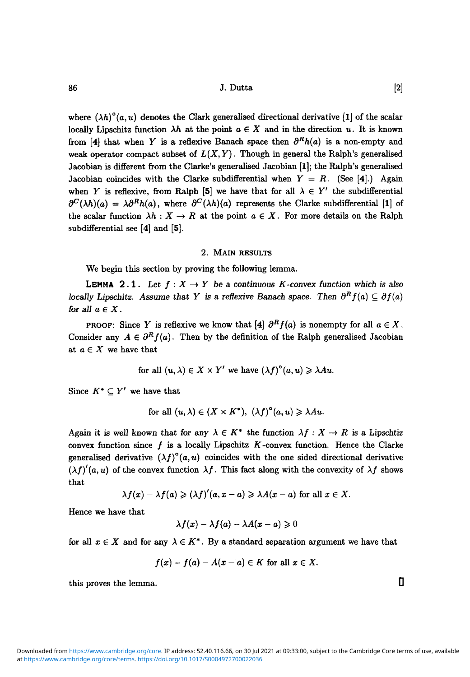$86$  J. Dutta [2]

where  $(\lambda h)^{\circ}(a, u)$  denotes the Clark generalised directional derivative [1] of the scalar locally Lipschitz function  $\lambda h$  at the point  $a \in X$  and in the direction u. It is known from [4] that when *Y* is a reflexive Banach space then  $\partial^R h(a)$  is a non-empty and weak operator compact subset of  $L(X, Y)$ . Though in general the Ralph's generalised Jacobian is different from the Clarke's generalised Jacobian [1]; the Ralph's generalised Jacobian coincides with the Clarke subdifferential when  $Y = R$ . (See [4].) Again when *Y* is reflexive, from Ralph [5] we have that for all  $\lambda \in Y'$  the subdifferential  $\partial^C(\lambda h)(a) = \lambda \partial^R h(a)$ , where  $\partial^C(\lambda h)(a)$  represents the Clarke subdifferential [1] of the scalar function  $\lambda h : X \to R$  at the point  $a \in X$ . For more details on the Ralph subdifferential see [4] and [5].

### 2. MAIN RESULTS

We begin this section by proving the following lemma.

**LEMMA** 2.1. Let  $f: X \to Y$  be a continuous K-convex function which is also *locally Lipschitz. Assume that Y is a reflexive Banach space. Then*  $\partial^R f(a) \subseteq \partial f(a)$ *for all*  $a \in X$ .

PROOF: Since *Y* is reflexive we know that [4]  $\partial^R f(a)$  is nonempty for all  $a \in X$ . Consider any  $A \in \partial^R f(a)$ . Then by the definition of the Ralph generalised Jacobian at  $a \in X$  we have that

for all 
$$
(u, \lambda) \in X \times Y'
$$
 we have  $(\lambda f)^{\circ}(a, u) \geq \lambda Au$ .

Since  $K^* \subset Y'$  we have that

for all 
$$
(u, \lambda) \in (X \times K^*)
$$
,  $(\lambda f)^{\circ}(a, u) \geq \lambda Au$ .

Again it is well known that for any  $\lambda \in K^*$  the function  $\lambda f : X \to R$  is a Lipschtiz convex function since  $f$  is a locally Lipschitz  $K$ -convex function. Hence the Clarke generalised derivative  $(\lambda f)^{\circ}(a, u)$  coincides with the one sided directional derivative  $(\lambda f)'(a, u)$  of the convex function  $\lambda f$ . This fact along with the convexity of  $\lambda f$  shows that

$$
\lambda f(x) - \lambda f(a) \geq (\lambda f)'(a, x - a) \geq \lambda A(x - a) \text{ for all } x \in X.
$$

Hence we have that

$$
\lambda f(x) - \lambda f(a) - \lambda A(x-a) \geqslant 0
$$

for all  $x \in X$  and for any  $\lambda \in K^*$ . By a standard separation argument we have that

$$
f(x)-f(a)-A(x-a)\in K \text{ for all } x\in X.
$$

this proves the lemma.  $\Box$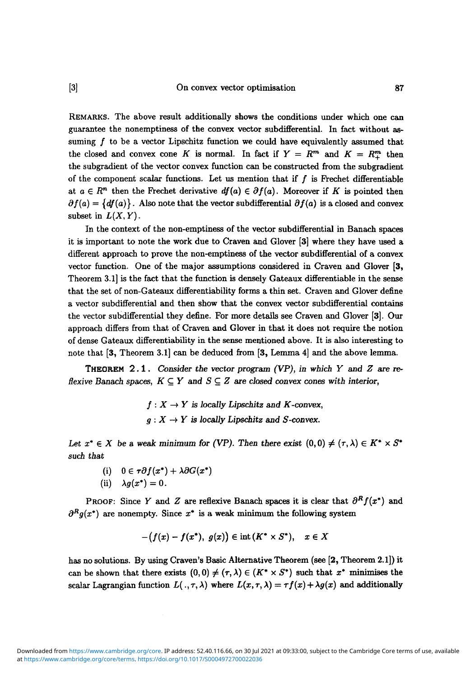[3] On convex vector optimisation 87

REMARKS. The above result additionally shows the conditions under which one can guarantee the nonemptiness of the convex vector subdifferential. In fact without assuming  $f$  to be a vector Lipschitz function we could have equivalently assumed that the closed and convex cone *K* is normal. In fact if  $Y = R^m$  and  $K = R^m_+$  then the subgradient of the vector convex function can be constructed from the subgradient of the component scalar functions. Let us mention that if  $f$  is Frechet differentiable at  $a \in \mathbb{R}^n$  then the Frechet derivative  $df(a) \in \partial f(a)$ . Moreover if K is pointed then  $\partial f(a) = \{df(a)\}\.$  Also note that the vector subdifferential  $\partial f(a)$  is a closed and convex subset in  $L(X, Y)$ .

In the context of the non-emptiness of the vector subdifferential in Banach spaces it is important to note the work due to Craven and Glover [3] where they have used a different approach to prove the non-emptiness of the vector subdifferential of a convex vector function. One of the major assumptions considered in Craven and Glover [3, Theorem 3.1] is the fact that the function is densely Gateaux differentiable in the sense that the set of non-Gateaux differentiability forms a thin set. Craven and Glover define a vector subdifferential and then show that the convex vector subdifferential contains the vector subdifferential they define. For more details see Craven and Glover [3]. Our approach differs from that of Craven and Glover in that it does not require the notion of dense Gateaux differentiability in the sense mentioned above. It is also interesting to note that [3, Theorem 3.1] can be deduced from [3, Lemma 4] and the above lemma.

THEOREM 2.1 . *Consider the vector program (VP), in which Y and Z are* reflexive Banach spaces,  $K \subseteq Y$  and  $S \subseteq Z$  are closed convex cones with interior,

> $f: X \to Y$  is locally Lipschitz and K-convex,  $g: X \to Y$  is locally Lipschitz and S-convex.

*Let*  $x^* \in X$  be a weak minimum for (VP). Then there exist  $(0,0) \neq (\tau, \lambda) \in K^* \times S^*$ *such that*

- (i)  $0 \in \tau \partial f(x^*) + \lambda \partial G(x^*)$
- (ii)  $\lambda g(x^*)=0$ .

PROOF: Since *Y* and *Z* are reflexive Banach spaces it is clear that  $\partial^R f(x^*)$  and  $\partial^R g(x^*)$  are nonempty. Since  $x^*$  is a weak minimum the following system

$$
-\bigl(f(x)-f(x^*),\,\,g(x)\bigr)\in{\rm int}\,(K^*\times S^*),\quad x\in X
$$

has no solutions. By using Craven's Basic Alternative Theorem (see [2, Theorem 2.1]) it can be shown that there exists  $(0,0) \neq (\tau, \lambda) \in (K^* \times S^*)$  such that  $x^*$  minimises the scalar Lagrangian function  $L(., \tau, \lambda)$  where  $L(x, \tau, \lambda) = \tau f(x) + \lambda g(x)$  and additionally